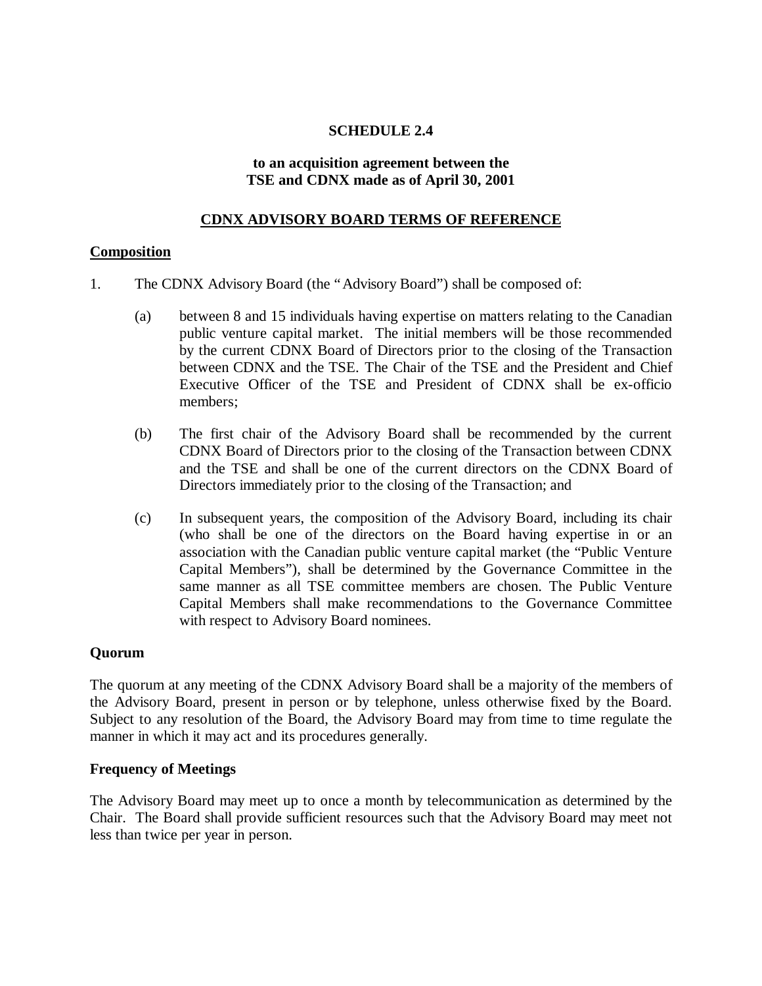# **SCHEDULE 2.4**

#### **to an acquisition agreement between the TSE and CDNX made as of April 30, 2001**

# **CDNX ADVISORY BOARD TERMS OF REFERENCE**

### **Composition**

- 1. The CDNX Advisory Board (the "Advisory Board") shall be composed of:
	- (a) between 8 and 15 individuals having expertise on matters relating to the Canadian public venture capital market. The initial members will be those recommended by the current CDNX Board of Directors prior to the closing of the Transaction between CDNX and the TSE. The Chair of the TSE and the President and Chief Executive Officer of the TSE and President of CDNX shall be ex-officio members;
	- (b) The first chair of the Advisory Board shall be recommended by the current CDNX Board of Directors prior to the closing of the Transaction between CDNX and the TSE and shall be one of the current directors on the CDNX Board of Directors immediately prior to the closing of the Transaction; and
	- (c) In subsequent years, the composition of the Advisory Board, including its chair (who shall be one of the directors on the Board having expertise in or an association with the Canadian public venture capital market (the "Public Venture Capital Members"), shall be determined by the Governance Committee in the same manner as all TSE committee members are chosen. The Public Venture Capital Members shall make recommendations to the Governance Committee with respect to Advisory Board nominees.

### **Quorum**

The quorum at any meeting of the CDNX Advisory Board shall be a majority of the members of the Advisory Board, present in person or by telephone, unless otherwise fixed by the Board. Subject to any resolution of the Board, the Advisory Board may from time to time regulate the manner in which it may act and its procedures generally.

### **Frequency of Meetings**

The Advisory Board may meet up to once a month by telecommunication as determined by the Chair. The Board shall provide sufficient resources such that the Advisory Board may meet not less than twice per year in person.